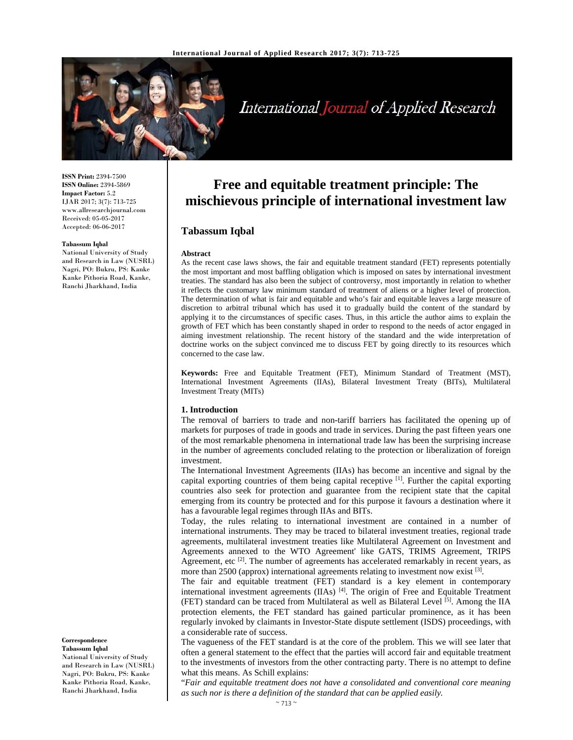

# International Journal of Applied Research

**ISSN Print:** 2394-7500 **ISSN Online:** 2394-5869 **Impact Factor:** 5.2 IJAR 2017; 3(7): 713-725 www.allresearchjournal.com Received: 05-05-2017 Accepted: 06-06-2017

#### **Tabassum Iqbal**

National University of Study and Research in Law (NUSRL) Nagri, PO: Bukru, PS: Kanke Kanke Pithoria Road, Kanke, Ranchi Jharkhand, India

As the recent case laws shows, the fair and equitable treatment standard (FET) represents potentially the most important and most baffling obligation which is imposed on sates by international investment treaties. The standard has also been the subject of controversy, most importantly in relation to whether it reflects the customary law minimum standard of treatment of aliens or a higher level of protection. The determination of what is fair and equitable and who's fair and equitable leaves a large measure of discretion to arbitral tribunal which has used it to gradually build the content of the standard by applying it to the circumstances of specific cases. Thus, in this article the author aims to explain the growth of FET which has been constantly shaped in order to respond to the needs of actor engaged in aiming investment relationship. The recent history of the standard and the wide interpretation of doctrine works on the subject convinced me to discuss FET by going directly to its resources which concerned to the case law.

**Free and equitable treatment principle: The mischievous principle of international investment law**

**Keywords:** Free and Equitable Treatment (FET), Minimum Standard of Treatment (MST), International Investment Agreements (IIAs), Bilateral Investment Treaty (BITs), Multilateral Investment Treaty (MITs)

#### **1. Introduction**

**Tabassum Iqbal** 

**Abstract** 

The removal of barriers to trade and non-tariff barriers has facilitated the opening up of markets for purposes of trade in goods and trade in services. During the past fifteen years one of the most remarkable phenomena in international trade law has been the surprising increase in the number of agreements concluded relating to the protection or liberalization of foreign investment.

The International Investment Agreements (IIAs) has become an incentive and signal by the capital exporting countries of them being capital receptive [1]. Further the capital exporting countries also seek for protection and guarantee from the recipient state that the capital emerging from its country be protected and for this purpose it favours a destination where it has a favourable legal regimes through IIAs and BITs.

Today, the rules relating to international investment are contained in a number of international instruments. They may be traced to bilateral investment treaties, regional trade agreements, multilateral investment treaties like Multilateral Agreement on Investment and Agreements annexed to the WTO Agreement' like GATS, TRIMS Agreement, TRIPS Agreement, etc  $^{[2]}$ . The number of agreements has accelerated remarkably in recent years, as more than  $2500$  (approx) international agreements relating to investment now exist  $^{[3]}$ .

The fair and equitable treatment (FET) standard is a key element in contemporary international investment agreements (IIAs) [4]. The origin of Free and Equitable Treatment (FET) standard can be traced from Multilateral as well as Bilateral Level [5]. Among the IIA protection elements, the FET standard has gained particular prominence, as it has been regularly invoked by claimants in Investor-State dispute settlement (ISDS) proceedings, with a considerable rate of success.

The vagueness of the FET standard is at the core of the problem. This we will see later that often a general statement to the effect that the parties will accord fair and equitable treatment to the investments of investors from the other contracting party. There is no attempt to define what this means. As Schill explains:

"*Fair and equitable treatment does not have a consolidated and conventional core meaning as such nor is there a definition of the standard that can be applied easily.*

#### **Correspondence Tabassum Iqbal**

National University of Study and Research in Law (NUSRL) Nagri, PO: Bukru, PS: Kanke Kanke Pithoria Road, Kanke, Ranchi Jharkhand, India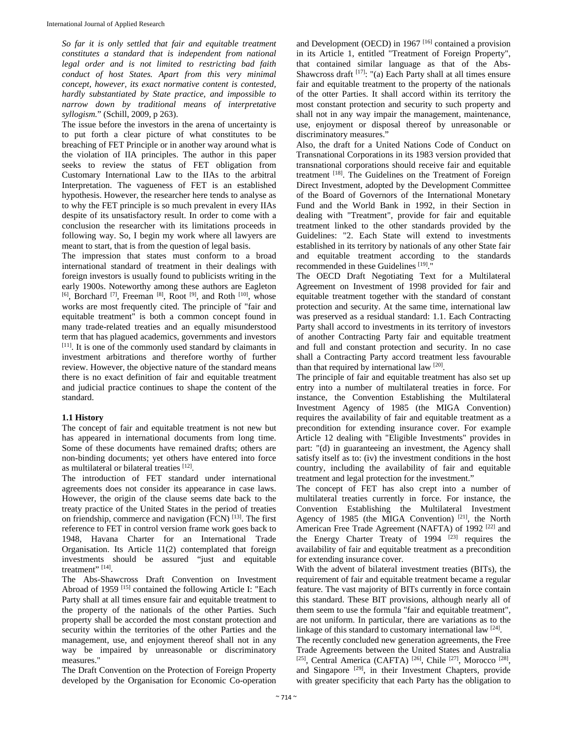*So far it is only settled that fair and equitable treatment constitutes a standard that is independent from national legal order and is not limited to restricting bad faith conduct of host States. Apart from this very minimal concept, however, its exact normative content is contested, hardly substantiated by State practice, and impossible to narrow down by traditional means of interpretative syllogism.*" (Schill, 2009, p 263).

The issue before the investors in the arena of uncertainty is to put forth a clear picture of what constitutes to be breaching of FET Principle or in another way around what is the violation of IIA principles. The author in this paper seeks to review the status of FET obligation from Customary International Law to the IIAs to the arbitral Interpretation. The vagueness of FET is an established hypothesis. However, the researcher here tends to analyse as to why the FET principle is so much prevalent in every IIAs despite of its unsatisfactory result. In order to come with a conclusion the researcher with its limitations proceeds in following way. So, I begin my work where all lawyers are meant to start, that is from the question of legal basis.

The impression that states must conform to a broad international standard of treatment in their dealings with foreign investors is usually found to publicists writing in the early 1900s. Noteworthy among these authors are Eagleton [6], Borchard <sup>[7]</sup>, Freeman <sup>[8]</sup>, Root <sup>[9]</sup>, and Roth <sup>[10]</sup>, whose works are most frequently cited. The principle of "fair and equitable treatment" is both a common concept found in many trade-related treaties and an equally misunderstood term that has plagued academics, governments and investors [11]. It is one of the commonly used standard by claimants in investment arbitrations and therefore worthy of further review. However, the objective nature of the standard means there is no exact definition of fair and equitable treatment and judicial practice continues to shape the content of the standard.

#### **1.1 History**

The concept of fair and equitable treatment is not new but has appeared in international documents from long time. Some of these documents have remained drafts; others are non-binding documents; yet others have entered into force as multilateral or bilateral treaties [12].

The introduction of FET standard under international agreements does not consider its appearance in case laws. However, the origin of the clause seems date back to the treaty practice of the United States in the period of treaties on friendship, commerce and navigation (FCN) [13]. The first reference to FET in control version frame work goes back to 1948, Havana Charter for an International Trade Organisation. Its Article 11(2) contemplated that foreign investments should be assured "just and equitable treatment"<sup>[14]</sup>.

The Abs-Shawcross Draft Convention on Investment Abroad of 1959 [15] contained the following Article I: "Each Party shall at all times ensure fair and equitable treatment to the property of the nationals of the other Parties. Such property shall be accorded the most constant protection and security within the territories of the other Parties and the management, use, and enjoyment thereof shall not in any way be impaired by unreasonable or discriminatory measures."

The Draft Convention on the Protection of Foreign Property developed by the Organisation for Economic Co-operation

and Development (OECD) in 1967 [16] contained a provision in its Article 1, entitled "Treatment of Foreign Property", that contained similar language as that of the Abs-Shawcross draft  $[17]$ : "(a) Each Party shall at all times ensure fair and equitable treatment to the property of the nationals of the otter Parties. It shall accord within its territory the most constant protection and security to such property and shall not in any way impair the management, maintenance, use, enjoyment or disposal thereof by unreasonable or discriminatory measures."

Also, the draft for a United Nations Code of Conduct on Transnational Corporations in its 1983 version provided that transnational corporations should receive fair and equitable treatment [18]. The Guidelines on the Treatment of Foreign Direct Investment, adopted by the Development Committee of the Board of Governors of the International Monetary Fund and the World Bank in 1992, in their Section in dealing with "Treatment", provide for fair and equitable treatment linked to the other standards provided by the Guidelines: "2. Each State will extend to investments established in its territory by nationals of any other State fair and equitable treatment according to the standards recommended in these Guidelines [19]."

The OECD Draft Negotiating Text for a Multilateral Agreement on Investment of 1998 provided for fair and equitable treatment together with the standard of constant protection and security. At the same time, international law was preserved as a residual standard: 1.1. Each Contracting Party shall accord to investments in its territory of investors of another Contracting Party fair and equitable treatment and full and constant protection and security. In no case shall a Contracting Party accord treatment less favourable than that required by international law [20].

The principle of fair and equitable treatment has also set up entry into a number of multilateral treaties in force. For instance, the Convention Establishing the Multilateral Investment Agency of 1985 (the MIGA Convention) requires the availability of fair and equitable treatment as a precondition for extending insurance cover. For example Article 12 dealing with "Eligible Investments" provides in part: "(d) in guaranteeing an investment, the Agency shall satisfy itself as to: (iv) the investment conditions in the host country, including the availability of fair and equitable treatment and legal protection for the investment."

The concept of FET has also crept into a number of multilateral treaties currently in force. For instance, the Convention Establishing the Multilateral Investment Agency of 1985 (the MIGA Convention)<sup>[21]</sup>, the North American Free Trade Agreement (NAFTA) of 1992<sup>[22]</sup> and the Energy Charter Treaty of  $1994$   $[23]$  requires the availability of fair and equitable treatment as a precondition for extending insurance cover.

With the advent of bilateral investment treaties (BITs), the requirement of fair and equitable treatment became a regular feature. The vast majority of BITs currently in force contain this standard. These BIT provisions, although nearly all of them seem to use the formula "fair and equitable treatment", are not uniform. In particular, there are variations as to the linkage of this standard to customary international law <sup>[24]</sup>.

The recently concluded new generation agreements, the Free Trade Agreements between the United States and Australia [25], Central America (CAFTA)<sup>[26]</sup>, Chile<sup>[27]</sup>, Morocco<sup>[28]</sup>, and Singapore [29], in their Investment Chapters, provide with greater specificity that each Party has the obligation to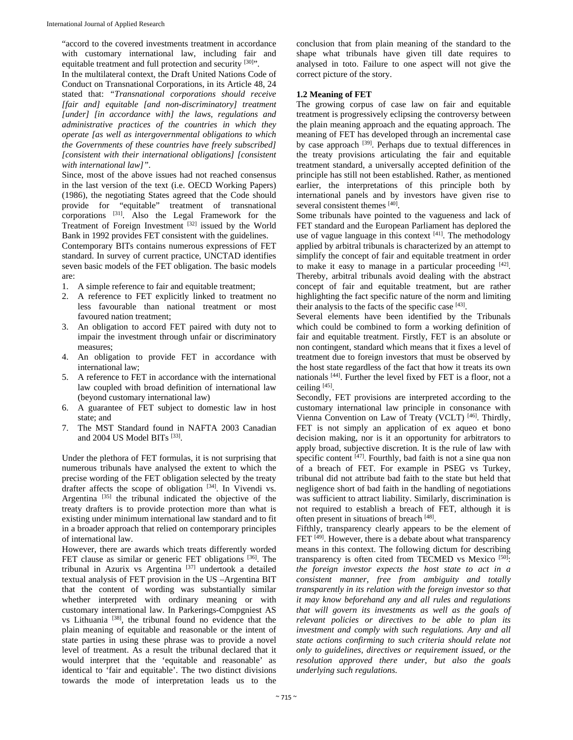"accord to the covered investments treatment in accordance with customary international law, including fair and equitable treatment and full protection and security [30]".

In the multilateral context, the Draft United Nations Code of Conduct on Transnational Corporations, in its Article 48, 24 stated that: *"Transnational corporations should receive [fair and] equitable [and non-discriminatory] treatment [under] [in accordance with] the laws, regulations and administrative practices of the countries in which they operate [as well as intergovernmental obligations to which the Governments of these countries have freely subscribed] [consistent with their international obligations] [consistent with international law]"*.

Since, most of the above issues had not reached consensus in the last version of the text (i.e. OECD Working Papers) (1986), the negotiating States agreed that the Code should provide for "equitable" treatment of transnational corporations [31]. Also the Legal Framework for the Treatment of Foreign Investment [32] issued by the World Bank in 1992 provides FET consistent with the guidelines.

Contemporary BITs contains numerous expressions of FET standard. In survey of current practice, UNCTAD identifies seven basic models of the FET obligation. The basic models are:

- 1. A simple reference to fair and equitable treatment;
- 2. A reference to FET explicitly linked to treatment no less favourable than national treatment or most favoured nation treatment;
- 3. An obligation to accord FET paired with duty not to impair the investment through unfair or discriminatory measures;
- 4. An obligation to provide FET in accordance with international law;
- 5. A reference to FET in accordance with the international law coupled with broad definition of international law (beyond customary international law)
- 6. A guarantee of FET subject to domestic law in host state; and
- 7. The MST Standard found in NAFTA 2003 Canadian and 2004 US Model BITs [33].

Under the plethora of FET formulas, it is not surprising that numerous tribunals have analysed the extent to which the precise wording of the FET obligation selected by the treaty drafter affects the scope of obligation [34]. In Vivendi vs. Argentina [35] the tribunal indicated the objective of the treaty drafters is to provide protection more than what is existing under minimum international law standard and to fit in a broader approach that relied on contemporary principles of international law.

However, there are awards which treats differently worded FET clause as similar or generic FET obligations [36]. The tribunal in Azurix vs Argentina [37] undertook a detailed textual analysis of FET provision in the US –Argentina BIT that the content of wording was substantially similar whether interpreted with ordinary meaning or with customary international law. In Parkerings-Compgniest AS vs Lithuania [38], the tribunal found no evidence that the plain meaning of equitable and reasonable or the intent of state parties in using these phrase was to provide a novel level of treatment. As a result the tribunal declared that it would interpret that the 'equitable and reasonable' as identical to 'fair and equitable'. The two distinct divisions towards the mode of interpretation leads us to the

conclusion that from plain meaning of the standard to the shape what tribunals have given till date requires to analysed in toto. Failure to one aspect will not give the correct picture of the story.

#### **1.2 Meaning of FET**

The growing corpus of case law on fair and equitable treatment is progressively eclipsing the controversy between the plain meaning approach and the equating approach. The meaning of FET has developed through an incremental case by case approach <sup>[39]</sup>. Perhaps due to textual differences in the treaty provisions articulating the fair and equitable treatment standard, a universally accepted definition of the principle has still not been established. Rather, as mentioned earlier, the interpretations of this principle both by international panels and by investors have given rise to several consistent themes [40].

Some tribunals have pointed to the vagueness and lack of FET standard and the European Parliament has deplored the use of vague language in this context  $[41]$ . The methodology applied by arbitral tribunals is characterized by an attempt to simplify the concept of fair and equitable treatment in order to make it easy to manage in a particular proceeding [42]. Thereby, arbitral tribunals avoid dealing with the abstract concept of fair and equitable treatment, but are rather highlighting the fact specific nature of the norm and limiting their analysis to the facts of the specific case [43].

Several elements have been identified by the Tribunals which could be combined to form a working definition of fair and equitable treatment. Firstly, FET is an absolute or non contingent, standard which means that it fixes a level of treatment due to foreign investors that must be observed by the host state regardless of the fact that how it treats its own nationals [44]. Further the level fixed by FET is a floor, not a ceiling [45].

Secondly, FET provisions are interpreted according to the customary international law principle in consonance with Vienna Convention on Law of Treaty (VCLT) [46]. Thirdly, FET is not simply an application of ex aqueo et bono decision making, nor is it an opportunity for arbitrators to apply broad, subjective discretion. It is the rule of law with specific content  $[47]$ . Fourthly, bad faith is not a sine qua non of a breach of FET. For example in PSEG vs Turkey, tribunal did not attribute bad faith to the state but held that negligence short of bad faith in the handling of negotiations was sufficient to attract liability. Similarly, discrimination is not required to establish a breach of FET, although it is often present in situations of breach [48].

Fifthly, transparency clearly appears to be the element of FET<sup>[49]</sup>. However, there is a debate about what transparency means in this context. The following dictum for describing transparency is often cited from TECMED vs Mexico [50]: *the foreign investor expects the host state to act in a consistent manner, free from ambiguity and totally transparently in its relation with the foreign investor so that it may know beforehand any and all rules and regulations that will govern its investments as well as the goals of relevant policies or directives to be able to plan its investment and comply with such regulations. Any and all state actions confirming to such criteria should relate not only to guidelines, directives or requirement issued, or the resolution approved there under, but also the goals underlying such regulations.*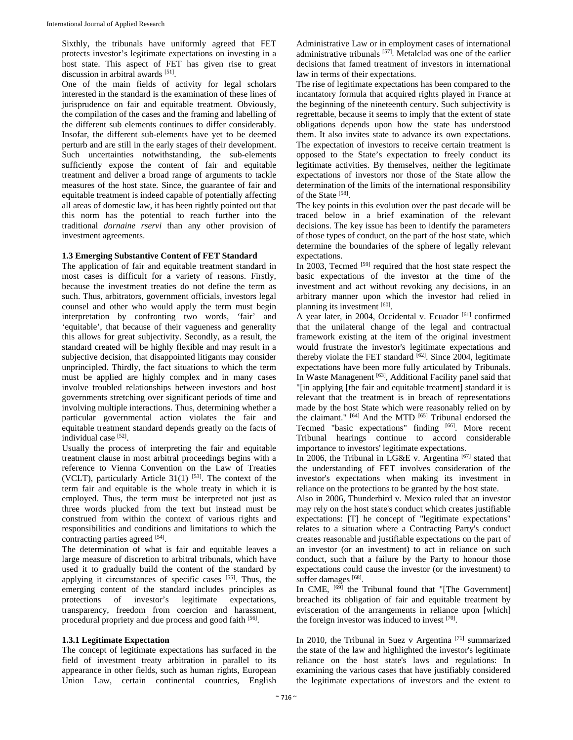Sixthly, the tribunals have uniformly agreed that FET protects investor's legitimate expectations on investing in a host state. This aspect of FET has given rise to great discussion in arbitral awards [51].

One of the main fields of activity for legal scholars interested in the standard is the examination of these lines of jurisprudence on fair and equitable treatment. Obviously, the compilation of the cases and the framing and labelling of the different sub elements continues to differ considerably. Insofar, the different sub-elements have yet to be deemed perturb and are still in the early stages of their development. Such uncertainties notwithstanding, the sub-elements sufficiently expose the content of fair and equitable treatment and deliver a broad range of arguments to tackle measures of the host state. Since, the guarantee of fair and equitable treatment is indeed capable of potentially affecting all areas of domestic law, it has been rightly pointed out that this norm has the potential to reach further into the traditional *dornaine rservi* than any other provision of investment agreements.

#### **1.3 Emerging Substantive Content of FET Standard**

The application of fair and equitable treatment standard in most cases is difficult for a variety of reasons. Firstly, because the investment treaties do not define the term as such. Thus, arbitrators, government officials, investors legal counsel and other who would apply the term must begin interpretation by confronting two words, 'fair' and 'equitable', that because of their vagueness and generality this allows for great subjectivity. Secondly, as a result, the standard created will be highly flexible and may result in a subjective decision, that disappointed litigants may consider unprincipled. Thirdly, the fact situations to which the term must be applied are highly complex and in many cases involve troubled relationships between investors and host governments stretching over significant periods of time and involving multiple interactions. Thus, determining whether a particular governmental action violates the fair and equitable treatment standard depends greatly on the facts of individual case [52].

Usually the process of interpreting the fair and equitable treatment clause in most arbitral proceedings begins with a reference to Vienna Convention on the Law of Treaties (VCLT), particularly Article  $31(1)$  [53]. The context of the term fair and equitable is the whole treaty in which it is employed. Thus, the term must be interpreted not just as three words plucked from the text but instead must be construed from within the context of various rights and responsibilities and conditions and limitations to which the contracting parties agreed [54].

The determination of what is fair and equitable leaves a large measure of discretion to arbitral tribunals, which have used it to gradually build the content of the standard by applying it circumstances of specific cases  $[55]$ . Thus, the emerging content of the standard includes principles as protections of investor's legitimate expectations, transparency, freedom from coercion and harassment, procedural propriety and due process and good faith [56].

#### **1.3.1 Legitimate Expectation**

The concept of legitimate expectations has surfaced in the field of investment treaty arbitration in parallel to its appearance in other fields, such as human rights, European Union Law, certain continental countries, English

Administrative Law or in employment cases of international administrative tribunals [57]. Metalclad was one of the earlier decisions that famed treatment of investors in international law in terms of their expectations.

The rise of legitimate expectations has been compared to the incantatory formula that acquired rights played in France at the beginning of the nineteenth century. Such subjectivity is regrettable, because it seems to imply that the extent of state obligations depends upon how the state has understood them. It also invites state to advance its own expectations. The expectation of investors to receive certain treatment is opposed to the State's expectation to freely conduct its legitimate activities. By themselves, neither the legitimate expectations of investors nor those of the State allow the determination of the limits of the international responsibility of the State [58].

The key points in this evolution over the past decade will be traced below in a brief examination of the relevant decisions. The key issue has been to identify the parameters of those types of conduct, on the part of the host state, which determine the boundaries of the sphere of legally relevant expectations.

In 2003, Tecmed <sup>[59]</sup> required that the host state respect the basic expectations of the investor at the time of the investment and act without revoking any decisions, in an arbitrary manner upon which the investor had relied in planning its investment [60].

A year later, in 2004, Occidental v. Ecuador [61] confirmed that the unilateral change of the legal and contractual framework existing at the item of the original investment would frustrate the investor's legitimate expectations and thereby violate the FET standard  $[62]$ . Since 2004, legitimate expectations have been more fully articulated by Tribunals. In Waste Managenent [63], Additional Facility panel said that "[in applying [the fair and equitable treatment] standard it is relevant that the treatment is in breach of representations made by the host State which were reasonably relied on by the claimant." [64] And the MTD [65] Tribunal endorsed the Tecmed "basic expectations" finding [66]. More recent Tribunal hearings continue to accord considerable importance to investors' legitimate expectations.

In 2006, the Tribunal in LG&E v. Argentina [67] stated that the understanding of FET involves consideration of the investor's expectations when making its investment in reliance on the protections to be granted by the host state.

Also in 2006, Thunderbird v. Mexico ruled that an investor may rely on the host state's conduct which creates justifiable expectations: [T] he concept of "legitimate expectations" relates to a situation where a Contracting Party's conduct creates reasonable and justifiable expectations on the part of an investor (or an investment) to act in reliance on such conduct, such that a failure by the Party to honour those expectations could cause the investor (or the investment) to suffer damages [68].

In CME, <sup>[69]</sup> the Tribunal found that "[The Government] breached its obligation of fair and equitable treatment by evisceration of the arrangements in reliance upon [which] the foreign investor was induced to invest [70].

In 2010, the Tribunal in Suez v Argentina [71] summarized the state of the law and highlighted the investor's legitimate reliance on the host state's laws and regulations: In examining the various cases that have justifiably considered the legitimate expectations of investors and the extent to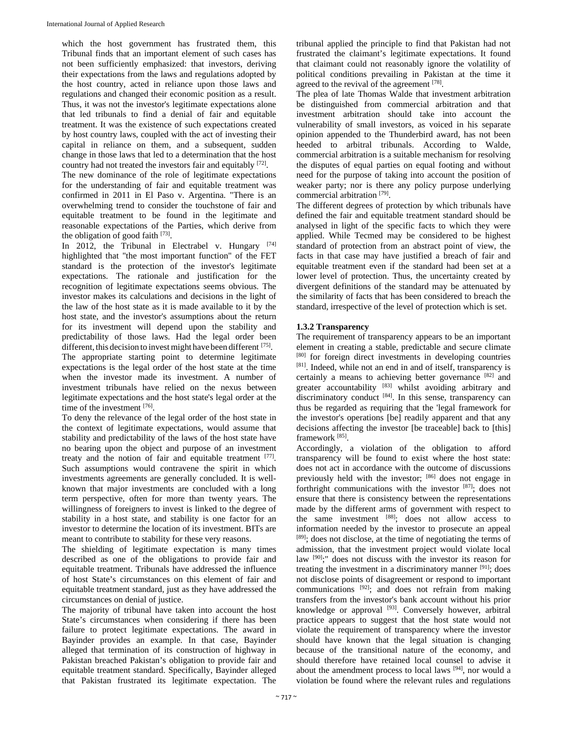which the host government has frustrated them, this Tribunal finds that an important element of such cases has not been sufficiently emphasized: that investors, deriving their expectations from the laws and regulations adopted by the host country, acted in reliance upon those laws and regulations and changed their economic position as a result. Thus, it was not the investor's legitimate expectations alone that led tribunals to find a denial of fair and equitable treatment. It was the existence of such expectations created by host country laws, coupled with the act of investing their capital in reliance on them, and a subsequent, sudden change in those laws that led to a determination that the host country had not treated the investors fair and equitably [72].

The new dominance of the role of legitimate expectations for the understanding of fair and equitable treatment was confirmed in 2011 in El Paso v. Argentina. "There is an overwhelming trend to consider the touchstone of fair and equitable treatment to be found in the legitimate and reasonable expectations of the Parties, which derive from the obligation of good faith [73].

In 2012, the Tribunal in Electrabel v. Hungary [74] highlighted that "the most important function" of the FET standard is the protection of the investor's legitimate expectations. The rationale and justification for the recognition of legitimate expectations seems obvious. The investor makes its calculations and decisions in the light of the law of the host state as it is made available to it by the host state, and the investor's assumptions about the return for its investment will depend upon the stability and predictability of those laws. Had the legal order been different, this decision to invest might have been different [75]. The appropriate starting point to determine legitimate expectations is the legal order of the host state at the time when the investor made its investment. A number of investment tribunals have relied on the nexus between legitimate expectations and the host state's legal order at the time of the investment [76].

To deny the relevance of the legal order of the host state in the context of legitimate expectations, would assume that stability and predictability of the laws of the host state have no bearing upon the object and purpose of an investment treaty and the notion of fair and equitable treatment [77]. Such assumptions would contravene the spirit in which investments agreements are generally concluded. It is wellknown that major investments are concluded with a long term perspective, often for more than twenty years. The willingness of foreigners to invest is linked to the degree of stability in a host state, and stability is one factor for an investor to determine the location of its investment. BITs are meant to contribute to stability for these very reasons.

The shielding of legitimate expectation is many times described as one of the obligations to provide fair and equitable treatment. Tribunals have addressed the influence of host State's circumstances on this element of fair and equitable treatment standard, just as they have addressed the circumstances on denial of justice.

The majority of tribunal have taken into account the host State's circumstances when considering if there has been failure to protect legitimate expectations. The award in Bayinder provides an example. In that case, Bayinder alleged that termination of its construction of highway in Pakistan breached Pakistan's obligation to provide fair and equitable treatment standard. Specifically, Bayinder alleged that Pakistan frustrated its legitimate expectation. The

tribunal applied the principle to find that Pakistan had not frustrated the claimant's legitimate expectations. It found that claimant could not reasonably ignore the volatility of political conditions prevailing in Pakistan at the time it agreed to the revival of the agreement [78].

The plea of late Thomas Walde that investment arbitration be distinguished from commercial arbitration and that investment arbitration should take into account the vulnerability of small investors, as voiced in his separate opinion appended to the Thunderbird award, has not been heeded to arbitral tribunals. According to Walde, commercial arbitration is a suitable mechanism for resolving the disputes of equal parties on equal footing and without need for the purpose of taking into account the position of weaker party; nor is there any policy purpose underlying commercial arbitration [79].

The different degrees of protection by which tribunals have defined the fair and equitable treatment standard should be analysed in light of the specific facts to which they were applied. While Tecmed may be considered to be highest standard of protection from an abstract point of view, the facts in that case may have justified a breach of fair and equitable treatment even if the standard had been set at a lower level of protection. Thus, the uncertainty created by divergent definitions of the standard may be attenuated by the similarity of facts that has been considered to breach the standard, irrespective of the level of protection which is set.

# **1.3.2 Transparency**

The requirement of transparency appears to be an important element in creating a stable, predictable and secure climate [80] for foreign direct investments in developing countries [81]. Indeed, while not an end in and of itself, transparency is certainly a means to achieving better governance [82] and greater accountability [83] whilst avoiding arbitrary and discriminatory conduct [84]. In this sense, transparency can thus be regarded as requiring that the 'legal framework for the investor's operations [be] readily apparent and that any decisions affecting the investor [be traceable] back to [this] framework [85].

Accordingly, a violation of the obligation to afford transparency will be found to exist where the host state: does not act in accordance with the outcome of discussions previously held with the investor; [86] does not engage in forthright communications with the investor [87]; does not ensure that there is consistency between the representations made by the different arms of government with respect to the same investment [88]; does not allow access to information needed by the investor to prosecute an appeal [89]; does not disclose, at the time of negotiating the terms of admission, that the investment project would violate local law [90];" does not discuss with the investor its reason for treating the investment in a discriminatory manner [91]; does not disclose points of disagreement or respond to important communications  $[92]$ ; and does not refrain from making transfers from the investor's bank account without his prior knowledge or approval <sup>[93]</sup>. Conversely however, arbitral practice appears to suggest that the host state would not violate the requirement of transparency where the investor should have known that the legal situation is changing because of the transitional nature of the economy, and should therefore have retained local counsel to advise it about the amendment process to local laws [94], nor would a violation be found where the relevant rules and regulations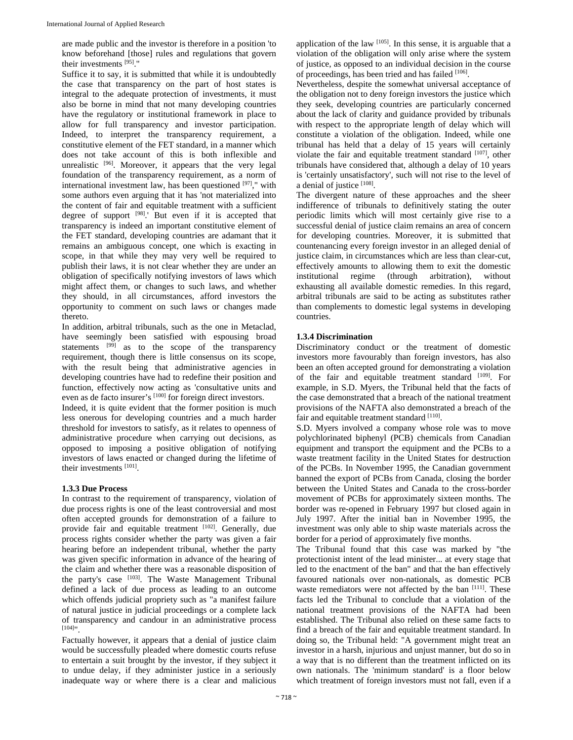are made public and the investor is therefore in a position 'to know beforehand [those] rules and regulations that govern their investments [95]."

Suffice it to say, it is submitted that while it is undoubtedly the case that transparency on the part of host states is integral to the adequate protection of investments, it must also be borne in mind that not many developing countries have the regulatory or institutional framework in place to allow for full transparency and investor participation. Indeed, to interpret the transparency requirement, a constitutive element of the FET standard, in a manner which does not take account of this is both inflexible and unrealistic <sup>[96]</sup>. Moreover, it appears that the very legal foundation of the transparency requirement, as a norm of international investment law, has been questioned  $[97]$ ," with some authors even arguing that it has 'not materialized into the content of fair and equitable treatment with a sufficient degree of support [98].' But even if it is accepted that transparency is indeed an important constitutive element of the FET standard, developing countries are adamant that it remains an ambiguous concept, one which is exacting in scope, in that while they may very well be required to publish their laws, it is not clear whether they are under an obligation of specifically notifying investors of laws which might affect them, or changes to such laws, and whether they should, in all circumstances, afford investors the opportunity to comment on such laws or changes made thereto.

In addition, arbitral tribunals, such as the one in Metaclad, have seemingly been satisfied with espousing broad statements  $[99]$  as to the scope of the transparency requirement, though there is little consensus on its scope, with the result being that administrative agencies in developing countries have had to redefine their position and function, effectively now acting as 'consultative units and even as de facto insurer's [100] for foreign direct investors.

Indeed, it is quite evident that the former position is much less onerous for developing countries and a much harder threshold for investors to satisfy, as it relates to openness of administrative procedure when carrying out decisions, as opposed to imposing a positive obligation of notifying investors of laws enacted or changed during the lifetime of their investments [101].

## **1.3.3 Due Process**

In contrast to the requirement of transparency, violation of due process rights is one of the least controversial and most often accepted grounds for demonstration of a failure to provide fair and equitable treatment [102]. Generally, due process rights consider whether the party was given a fair hearing before an independent tribunal, whether the party was given specific information in advance of the hearing of the claim and whether there was a reasonable disposition of the party's case <sup>[103]</sup>. The Waste Management Tribunal defined a lack of due process as leading to an outcome which offends judicial propriety such as "a manifest failure of natural justice in judicial proceedings or a complete lack of transparency and candour in an administrative process [104]".

Factually however, it appears that a denial of justice claim would be successfully pleaded where domestic courts refuse to entertain a suit brought by the investor, if they subject it to undue delay, if they administer justice in a seriously inadequate way or where there is a clear and malicious

application of the law  $[105]$ . In this sense, it is arguable that a violation of the obligation will only arise where the system of justice, as opposed to an individual decision in the course of proceedings, has been tried and has failed [106].

Nevertheless, despite the somewhat universal acceptance of the obligation not to deny foreign investors the justice which they seek, developing countries are particularly concerned about the lack of clarity and guidance provided by tribunals with respect to the appropriate length of delay which will constitute a violation of the obligation. Indeed, while one tribunal has held that a delay of 15 years will certainly violate the fair and equitable treatment standard [107], other tribunals have considered that, although a delay of 10 years is 'certainly unsatisfactory', such will not rise to the level of a denial of justice [108].

The divergent nature of these approaches and the sheer indifference of tribunals to definitively stating the outer periodic limits which will most certainly give rise to a successful denial of justice claim remains an area of concern for developing countries. Moreover, it is submitted that countenancing every foreign investor in an alleged denial of justice claim, in circumstances which are less than clear-cut, effectively amounts to allowing them to exit the domestic institutional regime (through arbitration), without exhausting all available domestic remedies. In this regard, arbitral tribunals are said to be acting as substitutes rather than complements to domestic legal systems in developing countries.

#### **1.3.4 Discrimination**

Discriminatory conduct or the treatment of domestic investors more favourably than foreign investors, has also been an often accepted ground for demonstrating a violation of the fair and equitable treatment standard [109]. For example, in S.D. Myers, the Tribunal held that the facts of the case demonstrated that a breach of the national treatment provisions of the NAFTA also demonstrated a breach of the fair and equitable treatment standard [110].

S.D. Myers involved a company whose role was to move polychlorinated biphenyl (PCB) chemicals from Canadian equipment and transport the equipment and the PCBs to a waste treatment facility in the United States for destruction of the PCBs. In November 1995, the Canadian government banned the export of PCBs from Canada, closing the border between the United States and Canada to the cross-border movement of PCBs for approximately sixteen months. The border was re-opened in February 1997 but closed again in July 1997. After the initial ban in November 1995, the investment was only able to ship waste materials across the border for a period of approximately five months.

The Tribunal found that this case was marked by "the protectionist intent of the lead minister... at every stage that led to the enactment of the ban" and that the ban effectively favoured nationals over non-nationals, as domestic PCB waste remediators were not affected by the ban [111]. These facts led the Tribunal to conclude that a violation of the national treatment provisions of the NAFTA had been established. The Tribunal also relied on these same facts to find a breach of the fair and equitable treatment standard. In doing so, the Tribunal held: "A government might treat an investor in a harsh, injurious and unjust manner, but do so in a way that is no different than the treatment inflicted on its own nationals. The 'minimum standard' is a floor below which treatment of foreign investors must not fall, even if a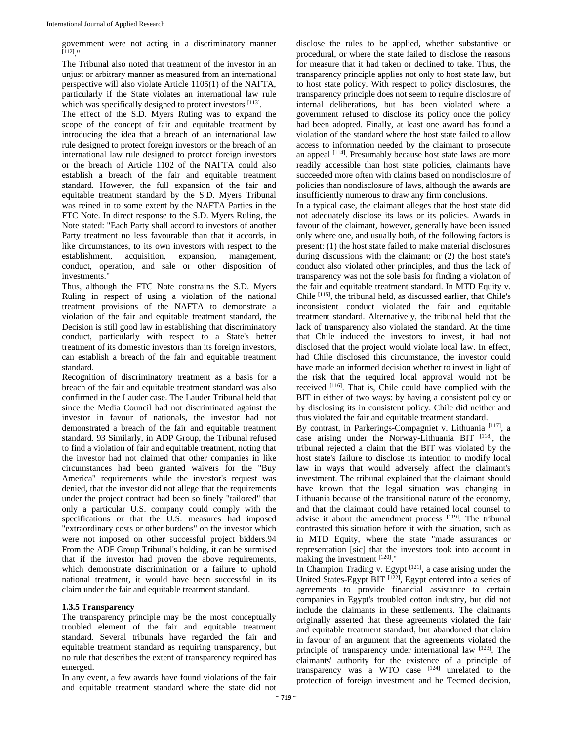government were not acting in a discriminatory manner [112]."

The Tribunal also noted that treatment of the investor in an unjust or arbitrary manner as measured from an international perspective will also violate Article 1105(1) of the NAFTA, particularly if the State violates an international law rule which was specifically designed to protect investors [113].

The effect of the S.D. Myers Ruling was to expand the scope of the concept of fair and equitable treatment by introducing the idea that a breach of an international law rule designed to protect foreign investors or the breach of an international law rule designed to protect foreign investors or the breach of Article 1102 of the NAFTA could also establish a breach of the fair and equitable treatment standard. However, the full expansion of the fair and equitable treatment standard by the S.D. Myers Tribunal was reined in to some extent by the NAFTA Parties in the FTC Note. In direct response to the S.D. Myers Ruling, the Note stated: "Each Party shall accord to investors of another Party treatment no less favourable than that it accords, in like circumstances, to its own investors with respect to the establishment, acquisition, expansion, management, conduct, operation, and sale or other disposition of investments."

Thus, although the FTC Note constrains the S.D. Myers Ruling in respect of using a violation of the national treatment provisions of the NAFTA to demonstrate a violation of the fair and equitable treatment standard, the Decision is still good law in establishing that discriminatory conduct, particularly with respect to a State's better treatment of its domestic investors than its foreign investors, can establish a breach of the fair and equitable treatment standard.

Recognition of discriminatory treatment as a basis for a breach of the fair and equitable treatment standard was also confirmed in the Lauder case. The Lauder Tribunal held that since the Media Council had not discriminated against the investor in favour of nationals, the investor had not demonstrated a breach of the fair and equitable treatment standard. 93 Similarly, in ADP Group, the Tribunal refused to find a violation of fair and equitable treatment, noting that the investor had not claimed that other companies in like circumstances had been granted waivers for the "Buy America" requirements while the investor's request was denied, that the investor did not allege that the requirements under the project contract had been so finely "tailored" that only a particular U.S. company could comply with the specifications or that the U.S. measures had imposed "extraordinary costs or other burdens" on the investor which were not imposed on other successful project bidders.94 From the ADF Group Tribunal's holding, it can be surmised that if the investor had proven the above requirements, which demonstrate discrimination or a failure to uphold national treatment, it would have been successful in its claim under the fair and equitable treatment standard.

## **1.3.5 Transparency**

The transparency principle may be the most conceptually troubled element of the fair and equitable treatment standard. Several tribunals have regarded the fair and equitable treatment standard as requiring transparency, but no rule that describes the extent of transparency required has emerged.

In any event, a few awards have found violations of the fair and equitable treatment standard where the state did not

disclose the rules to be applied, whether substantive or procedural, or where the state failed to disclose the reasons for measure that it had taken or declined to take. Thus, the transparency principle applies not only to host state law, but to host state policy. With respect to policy disclosures, the transparency principle does not seem to require disclosure of internal deliberations, but has been violated where a government refused to disclose its policy once the policy had been adopted. Finally, at least one award has found a violation of the standard where the host state failed to allow access to information needed by the claimant to prosecute an appeal [114]. Presumably because host state laws are more readily accessible than host state policies, claimants have succeeded more often with claims based on nondisclosure of policies than nondisclosure of laws, although the awards are insufficiently numerous to draw any firm conclusions.

In a typical case, the claimant alleges that the host state did not adequately disclose its laws or its policies. Awards in favour of the claimant, however, generally have been issued only where one, and usually both, of the following factors is present: (1) the host state failed to make material disclosures during discussions with the claimant; or (2) the host state's conduct also violated other principles, and thus the lack of transparency was not the sole basis for finding a violation of the fair and equitable treatment standard. In MTD Equity v. Chile [115], the tribunal held, as discussed earlier, that Chile's inconsistent conduct violated the fair and equitable treatment standard. Alternatively, the tribunal held that the lack of transparency also violated the standard. At the time that Chile induced the investors to invest, it had not disclosed that the project would violate local law. In effect, had Chile disclosed this circumstance, the investor could have made an informed decision whether to invest in light of the risk that the required local approval would not be received [116]. That is, Chile could have complied with the BIT in either of two ways: by having a consistent policy or by disclosing its in consistent policy. Chile did neither and thus violated the fair and equitable treatment standard.

By contrast, in Parkerings-Compagniet v. Lithuania [117], a case arising under the Norway-Lithuania BIT  $[118]$ , the tribunal rejected a claim that the BIT was violated by the host state's failure to disclose its intention to modify local law in ways that would adversely affect the claimant's investment. The tribunal explained that the claimant should have known that the legal situation was changing in Lithuania because of the transitional nature of the economy, and that the claimant could have retained local counsel to advise it about the amendment process [119]. The tribunal contrasted this situation before it with the situation, such as in MTD Equity, where the state "made assurances or representation [sic] that the investors took into account in making the investment [120]."

In Champion Trading v. Egypt [121], a case arising under the United States-Egypt BIT [122], Egypt entered into a series of agreements to provide financial assistance to certain companies in Egypt's troubled cotton industry, but did not include the claimants in these settlements. The claimants originally asserted that these agreements violated the fair and equitable treatment standard, but abandoned that claim in favour of an argument that the agreements violated the principle of transparency under international law  $[123]$ . The claimants' authority for the existence of a principle of transparency was a WTO case  $[124]$  unrelated to the protection of foreign investment and he Tecmed decision,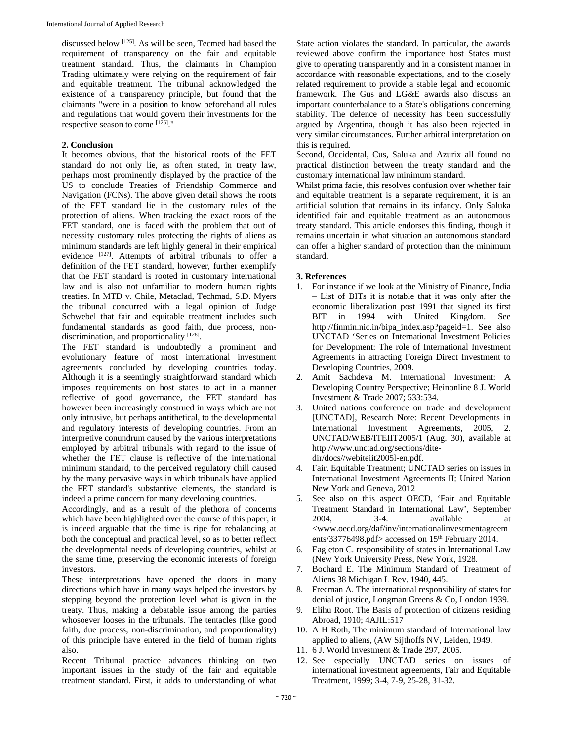discussed below [125]. As will be seen, Tecmed had based the requirement of transparency on the fair and equitable treatment standard. Thus, the claimants in Champion Trading ultimately were relying on the requirement of fair and equitable treatment. The tribunal acknowledged the existence of a transparency principle, but found that the claimants "were in a position to know beforehand all rules and regulations that would govern their investments for the respective season to come [126]."

#### **2. Conclusion**

It becomes obvious, that the historical roots of the FET standard do not only lie, as often stated, in treaty law, perhaps most prominently displayed by the practice of the US to conclude Treaties of Friendship Commerce and Navigation (FCNs). The above given detail shows the roots of the FET standard lie in the customary rules of the protection of aliens. When tracking the exact roots of the FET standard, one is faced with the problem that out of necessity customary rules protecting the rights of aliens as minimum standards are left highly general in their empirical evidence [127]. Attempts of arbitral tribunals to offer a definition of the FET standard, however, further exemplify that the FET standard is rooted in customary international law and is also not unfamiliar to modern human rights treaties. In MTD v. Chile, Metaclad, Techmad, S.D. Myers the tribunal concurred with a legal opinion of Judge Schwebel that fair and equitable treatment includes such fundamental standards as good faith, due process, nondiscrimination, and proportionality [128].

The FET standard is undoubtedly a prominent and evolutionary feature of most international investment agreements concluded by developing countries today. Although it is a seemingly straightforward standard which imposes requirements on host states to act in a manner reflective of good governance, the FET standard has however been increasingly construed in ways which are not only intrusive, but perhaps antithetical, to the developmental and regulatory interests of developing countries. From an interpretive conundrum caused by the various interpretations employed by arbitral tribunals with regard to the issue of whether the FET clause is reflective of the international minimum standard, to the perceived regulatory chill caused by the many pervasive ways in which tribunals have applied the FET standard's substantive elements, the standard is indeed a prime concern for many developing countries.

Accordingly, and as a result of the plethora of concerns which have been highlighted over the course of this paper, it is indeed arguable that the time is ripe for rebalancing at both the conceptual and practical level, so as to better reflect the developmental needs of developing countries, whilst at the same time, preserving the economic interests of foreign investors.

These interpretations have opened the doors in many directions which have in many ways helped the investors by stepping beyond the protection level what is given in the treaty. Thus, making a debatable issue among the parties whosoever looses in the tribunals. The tentacles (like good faith, due process, non-discrimination, and proportionality) of this principle have entered in the field of human rights also.

Recent Tribunal practice advances thinking on two important issues in the study of the fair and equitable treatment standard. First, it adds to understanding of what

State action violates the standard. In particular, the awards reviewed above confirm the importance host States must give to operating transparently and in a consistent manner in accordance with reasonable expectations, and to the closely related requirement to provide a stable legal and economic framework. The Gus and LG&E awards also discuss an important counterbalance to a State's obligations concerning stability. The defence of necessity has been successfully argued by Argentina, though it has also been rejected in very similar circumstances. Further arbitral interpretation on this is required.

Second, Occidental, Cus, Saluka and Azurix all found no practical distinction between the treaty standard and the customary international law minimum standard.

Whilst prima facie, this resolves confusion over whether fair and equitable treatment is a separate requirement, it is an artificial solution that remains in its infancy. Only Saluka identified fair and equitable treatment as an autonomous treaty standard. This article endorses this finding, though it remains uncertain in what situation an autonomous standard can offer a higher standard of protection than the minimum standard.

## **3. References**

- 1. For instance if we look at the Ministry of Finance, India – List of BITs it is notable that it was only after the economic liberalization post 1991 that signed its first BIT in 1994 with United Kingdom. See http://finmin.nic.in/bipa\_index.asp?pageid=1. See also UNCTAD 'Series on International Investment Policies for Development: The role of International Investment Agreements in attracting Foreign Direct Investment to Developing Countries, 2009.
- 2. Amit Sachdeva M. International Investment: A Developing Country Perspective; Heinonline 8 J. World Investment & Trade 2007; 533:534.
- 3. United nations conference on trade and development [UNCTAD], Research Note: Recent Developments in International Investment Agreements, 2005, 2. UNCTAD/WEB/ITEIIT2005/1 (Aug. 30), available at http://www.unctad.org/sections/ditedir/docs//webiteiit2005l-en.pdf.
- 4. Fair. Equitable Treatment; UNCTAD series on issues in International Investment Agreements II; United Nation New York and Geneva, 2012
- 5. See also on this aspect OECD, 'Fair and Equitable Treatment Standard in International Law', September 2004, 3-4. available at <www.oecd.org/daf/inv/internationalinvestmentagreem ents/33776498.pdf> accessed on  $15<sup>th</sup>$  February 2014.
- 6. Eagleton C. responsibility of states in International Law (New York University Press, New York, 1928.
- 7. Bochard E. The Minimum Standard of Treatment of Aliens 38 Michigan L Rev. 1940, 445.
- 8. Freeman A. The international responsibility of states for denial of justice, Longman Greens & Co, London 1939.
- 9. Elihu Root. The Basis of protection of citizens residing Abroad, 1910; 4AJIL:517
- 10. A H Roth, The minimum standard of International law applied to aliens, (AW Sijthoffs NV, Leiden, 1949.
- 11. 6 J. World Investment & Trade 297, 2005.
- 12. See especially UNCTAD series on issues of international investment agreements, Fair and Equitable Treatment, 1999; 3-4, 7-9, 25-28, 31-32.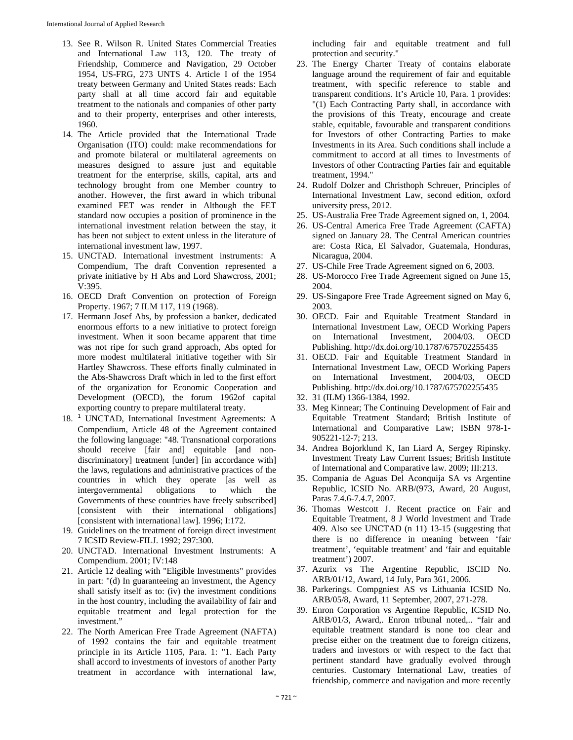- 13. See R. Wilson R. United States Commercial Treaties and International Law 113, 120. The treaty of Friendship, Commerce and Navigation, 29 October 1954, US-FRG, 273 UNTS 4. Article I of the 1954 treaty between Germany and United States reads: Each party shall at all time accord fair and equitable treatment to the nationals and companies of other party and to their property, enterprises and other interests, 1960.
- 14. The Article provided that the International Trade Organisation (ITO) could: make recommendations for and promote bilateral or multilateral agreements on measures designed to assure just and equitable treatment for the enterprise, skills, capital, arts and technology brought from one Member country to another. However, the first award in which tribunal examined FET was render in Although the FET standard now occupies a position of prominence in the international investment relation between the stay, it has been not subject to extent unless in the literature of international investment law, 1997.
- 15. UNCTAD. International investment instruments: A Compendium, The draft Convention represented a private initiative by H Abs and Lord Shawcross, 2001; V:395.
- 16. OECD Draft Convention on protection of Foreign Property. 1967; 7 ILM 117, 119 (1968).
- 17. Hermann Josef Abs, by profession a banker, dedicated enormous efforts to a new initiative to protect foreign investment. When it soon became apparent that time was not ripe for such grand approach, Abs opted for more modest multilateral initiative together with Sir Hartley Shawcross. These efforts finally culminated in the Abs-Shawcross Draft which in led to the first effort of the organization for Economic Cooperation and Development (OECD), the forum 1962of capital exporting country to prepare multilateral treaty.
- 18. <sup>1</sup> UNCTAD, International Investment Agreements: A Compendium, Article 48 of the Agreement contained the following language: "48. Transnational corporations should receive [fair and] equitable [and nondiscriminatory] treatment [under] [in accordance with] the laws, regulations and administrative practices of the countries in which they operate [as well as intergovernmental obligations to which the Governments of these countries have freely subscribed] [consistent with their international obligations] [consistent with international law]. 1996; I:172.
- 19. Guidelines on the treatment of foreign direct investment 7 ICSID Review-FILJ. 1992; 297:300.
- 20. UNCTAD. International Investment Instruments: A Compendium. 2001; IV:148
- 21. Article 12 dealing with "Eligible Investments" provides in part: "(d) In guaranteeing an investment, the Agency shall satisfy itself as to: (iv) the investment conditions in the host country, including the availability of fair and equitable treatment and legal protection for the investment."
- 22. The North American Free Trade Agreement (NAFTA) of 1992 contains the fair and equitable treatment principle in its Article 1105, Para. 1: "1. Each Party shall accord to investments of investors of another Party treatment in accordance with international law,

including fair and equitable treatment and full protection and security."

- 23. The Energy Charter Treaty of contains elaborate language around the requirement of fair and equitable treatment, with specific reference to stable and transparent conditions. It's Article 10, Para. 1 provides: "(1) Each Contracting Party shall, in accordance with the provisions of this Treaty, encourage and create stable, equitable, favourable and transparent conditions for Investors of other Contracting Parties to make Investments in its Area. Such conditions shall include a commitment to accord at all times to Investments of Investors of other Contracting Parties fair and equitable treatment, 1994."
- 24. Rudolf Dolzer and Christhoph Schreuer, Principles of International Investment Law, second edition, oxford university press, 2012.
- 25. US-Australia Free Trade Agreement signed on, 1, 2004.
- 26. US-Central America Free Trade Agreement (CAFTA) signed on January 28. The Central American countries are: Costa Rica, El Salvador, Guatemala, Honduras, Nicaragua, 2004.
- 27. US-Chile Free Trade Agreement signed on 6, 2003.
- 28. US-Morocco Free Trade Agreement signed on June 15, 2004.
- 29. US-Singapore Free Trade Agreement signed on May 6, 2003.
- 30. OECD. Fair and Equitable Treatment Standard in International Investment Law, OECD Working Papers on International Investment, 2004/03. OECD Publishing. http://dx.doi.org/10.1787/675702255435
- 31. OECD. Fair and Equitable Treatment Standard in International Investment Law, OECD Working Papers on International Investment, 2004/03, OECD Publishing. http://dx.doi.org/10.1787/675702255435
- 32. 31 (ILM) 1366-1384, 1992.
- 33. Meg Kinnear; The Continuing Development of Fair and Equitable Treatment Standard; British Institute of International and Comparative Law; ISBN 978-1- 905221-12-7; 213.
- 34. Andrea Bojorklund K, Ian Liard A, Sergey Ripinsky. Investment Treaty Law Current Issues; British Institute of International and Comparative law. 2009; III:213.
- 35. Compania de Aguas Del Aconquija SA vs Argentine Republic, ICSID No. ARB/(973, Award, 20 August, Paras 7.4.6-7.4.7, 2007.
- 36. Thomas Westcott J. Recent practice on Fair and Equitable Treatment, 8 J World Investment and Trade 409. Also see UNCTAD (n 11) 13-15 (suggesting that there is no difference in meaning between 'fair treatment', 'equitable treatment' and 'fair and equitable treatment') 2007.
- 37. Azurix vs The Argentine Republic, ISCID No. ARB/01/12, Award, 14 July, Para 361, 2006.
- 38. Parkerings. Compgniest AS vs Lithuania ICSID No. ARB/05/8, Award, 11 September, 2007, 271-278.
- 39. Enron Corporation vs Argentine Republic, ICSID No. ARB/01/3, Award,. Enron tribunal noted,.. "fair and equitable treatment standard is none too clear and precise either on the treatment due to foreign citizens, traders and investors or with respect to the fact that pertinent standard have gradually evolved through centuries. Customary International Law, treaties of friendship, commerce and navigation and more recently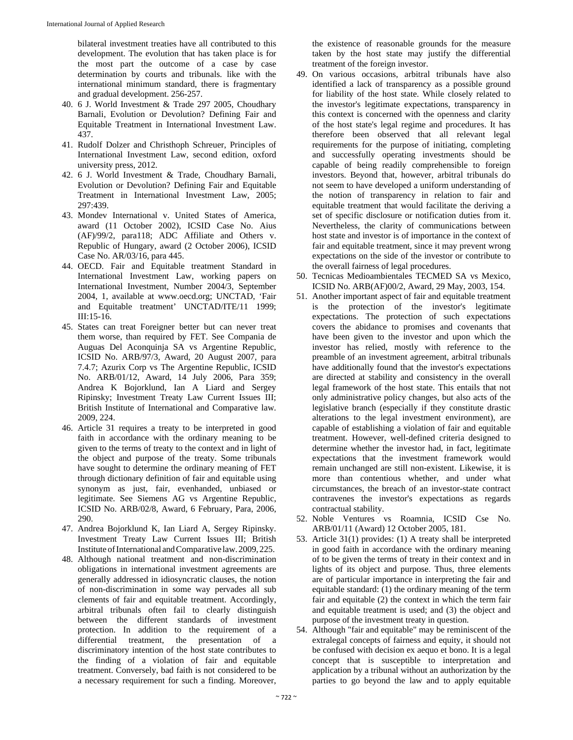bilateral investment treaties have all contributed to this development. The evolution that has taken place is for the most part the outcome of a case by case determination by courts and tribunals. like with the international minimum standard, there is fragmentary and gradual development. 256-257.

- 40. 6 J. World Investment & Trade 297 2005, Choudhary Barnali, Evolution or Devolution? Defining Fair and Equitable Treatment in International Investment Law. 437.
- 41. Rudolf Dolzer and Christhoph Schreuer, Principles of International Investment Law, second edition, oxford university press, 2012.
- 42. 6 J. World Investment & Trade, Choudhary Barnali, Evolution or Devolution? Defining Fair and Equitable Treatment in International Investment Law, 2005; 297:439.
- 43. Mondev International v. United States of America, award (11 October 2002), ICSID Case No. Aius (AF)/99/2, para118; ADC Affiliate and Others v. Republic of Hungary, award (2 October 2006), ICSID Case No. AR/03/16, para 445.
- 44. OECD. Fair and Equitable treatment Standard in International Investment Law, working papers on International Investment, Number 2004/3, September 2004, 1, available at www.oecd.org; UNCTAD, 'Fair and Equitable treatment' UNCTAD/ITE/11 1999; III:15-16.
- 45. States can treat Foreigner better but can never treat them worse, than required by FET. See Compania de Auguas Del Aconquinja SA vs Argentine Republic, ICSID No. ARB/97/3, Award, 20 August 2007, para 7.4.7; Azurix Corp vs The Argentine Republic, ICSID No. ARB/01/12, Award, 14 July 2006, Para 359; Andrea K Bojorklund, Ian A Liard and Sergey Ripinsky; Investment Treaty Law Current Issues III; British Institute of International and Comparative law. 2009, 224.
- 46. Article 31 requires a treaty to be interpreted in good faith in accordance with the ordinary meaning to be given to the terms of treaty to the context and in light of the object and purpose of the treaty. Some tribunals have sought to determine the ordinary meaning of FET through dictionary definition of fair and equitable using synonym as just, fair, evenhanded, unbiased or legitimate. See Siemens AG vs Argentine Republic, ICSID No. ARB/02/8, Award, 6 February, Para, 2006, 290.
- 47. Andrea Bojorklund K, Ian Liard A, Sergey Ripinsky. Investment Treaty Law Current Issues III; British InstituteofInternational andComparative law.2009, 225.
- 48. Although national treatment and non-discrimination obligations in international investment agreements are generally addressed in idiosyncratic clauses, the notion of non-discrimination in some way pervades all sub clements of fair and equitable treatment. Accordingly, arbitral tribunals often fail to clearly distinguish between the different standards of investment protection. In addition to the requirement of a differential treatment, the presentation of a discriminatory intention of the host state contributes to the finding of a violation of fair and equitable treatment. Conversely, bad faith is not considered to be a necessary requirement for such a finding. Moreover,

the existence of reasonable grounds for the measure taken by the host state may justify the differential treatment of the foreign investor.

- 49. On various occasions, arbitral tribunals have also identified a lack of transparency as a possible ground for liability of the host state. While closely related to the investor's legitimate expectations, transparency in this context is concerned with the openness and clarity of the host state's legal regime and procedures. It has therefore been observed that all relevant legal requirements for the purpose of initiating, completing and successfully operating investments should be capable of being readily comprehensible to foreign investors. Beyond that, however, arbitral tribunals do not seem to have developed a uniform understanding of the notion of transparency in relation to fair and equitable treatment that would facilitate the deriving a set of specific disclosure or notification duties from it. Nevertheless, the clarity of communications between host state and investor is of importance in the context of fair and equitable treatment, since it may prevent wrong expectations on the side of the investor or contribute to the overall fairness of legal procedures.
- 50. Tecnicas Medioambientales TECMED SA vs Mexico, ICSID No. ARB(AF)00/2, Award, 29 May, 2003, 154.
- 51. Another important aspect of fair and equitable treatment is the protection of the investor's legitimate expectations. The protection of such expectations covers the abidance to promises and covenants that have been given to the investor and upon which the investor has relied, mostly with reference to the preamble of an investment agreement, arbitral tribunals have additionally found that the investor's expectations are directed at stability and consistency in the overall legal framework of the host state. This entails that not only administrative policy changes, but also acts of the legislative branch (especially if they constitute drastic alterations to the legal investment environment), are capable of establishing a violation of fair and equitable treatment. However, well-defined criteria designed to determine whether the investor had, in fact, legitimate expectations that the investment framework would remain unchanged are still non-existent. Likewise, it is more than contentious whether, and under what circumstances, the breach of an investor-state contract contravenes the investor's expectations as regards contractual stability.
- 52. Noble Ventures vs Roamnia, ICSID Cse No. ARB/01/11 (Award) 12 October 2005, 181.
- 53. Article 31(1) provides: (1) A treaty shall be interpreted in good faith in accordance with the ordinary meaning of to be given the terms of treaty in their context and in lights of its object and purpose. Thus, three elements are of particular importance in interpreting the fair and equitable standard: (1) the ordinary meaning of the term fair and equitable (2) the context in which the term fair and equitable treatment is used; and (3) the object and purpose of the investment treaty in question.
- 54. Although "fair and equitable" may be reminiscent of the extralegal concepts of fairness and equity, it should not be confused with decision ex aequo et bono. It is a legal concept that is susceptible to interpretation and application by a tribunal without an authorization by the parties to go beyond the law and to apply equitable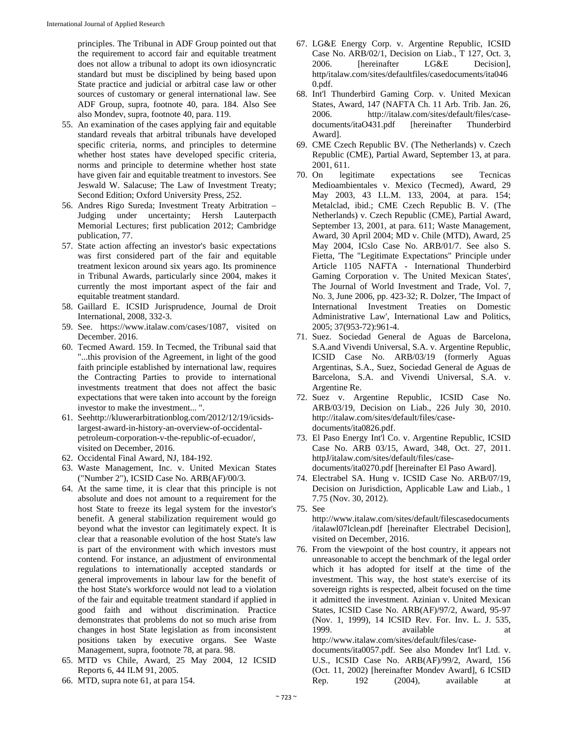principles. The Tribunal in ADF Group pointed out that the requirement to accord fair and equitable treatment does not allow a tribunal to adopt its own idiosyncratic standard but must be disciplined by being based upon State practice and judicial or arbitral case law or other sources of customary or general international law. See ADF Group, supra, footnote 40, para. 184. Also See also Mondev, supra, footnote 40, para. 119.

- 55. An examination of the cases applying fair and equitable standard reveals that arbitral tribunals have developed specific criteria, norms, and principles to determine whether host states have developed specific criteria, norms and principle to determine whether host state have given fair and equitable treatment to investors. See Jeswald W. Salacuse; The Law of Investment Treaty; Second Edition; Oxford University Press, 252.
- 56. Andres Rigo Sureda; Investment Treaty Arbitration Judging under uncertainty; Hersh Lauterpacth Memorial Lectures; first publication 2012; Cambridge publication, 77.
- 57. State action affecting an investor's basic expectations was first considered part of the fair and equitable treatment lexicon around six years ago. Its prominence in Tribunal Awards, particularly since 2004, makes it currently the most important aspect of the fair and equitable treatment standard.
- 58. Gaillard E. ICSID Jurisprudence, Journal de Droit International, 2008, 332-3.
- 59. See. https://www.italaw.com/cases/1087, visited on December. 2016.
- 60. Tecmed Award. 159. In Tecmed, the Tribunal said that "...this provision of the Agreement, in light of the good faith principle established by international law, requires the Contracting Parties to provide to international investments treatment that does not affect the basic expectations that were taken into account by the foreign investor to make the investment... ".
- 61. Seehttp://kluwerarbitrationblog.com/2012/12/19/icsidslargest-award-in-history-an-overview-of-occidentalpetroleum-corporation-v-the-republic-of-ecuador/, visited on December, 2016.
- 62. Occidental Final Award, NJ, 184-192.
- 63. Waste Management, Inc. v. United Mexican States ("Number 2"), ICSID Case No. ARB(AF)/00/3.
- 64. At the same time, it is clear that this principle is not absolute and does not amount to a requirement for the host State to freeze its legal system for the investor's benefit. A general stabilization requirement would go beyond what the investor can legitimately expect. It is clear that a reasonable evolution of the host State's law is part of the environment with which investors must contend. For instance, an adjustment of environmental regulations to internationally accepted standards or general improvements in labour law for the benefit of the host State's workforce would not lead to a violation of the fair and equitable treatment standard if applied in good faith and without discrimination. Practice demonstrates that problems do not so much arise from changes in host State legislation as from inconsistent positions taken by executive organs. See Waste Management, supra, footnote 78, at para. 98.
- 65. MTD vs Chile, Award, 25 May 2004, 12 ICSID Reports 6, 44 ILM 91, 2005.
- 66. MTD, supra note 61, at para 154.
- 67. LG&E Energy Corp. v. Argentine Republic, ICSID Case No. ARB/02/1, Decision on Liab., T 127, Oct. 3, 2006. [hereinafter LG&E Decision], http/italaw.com/sites/defaultfiles/casedocuments/ita046 0.pdf.
- 68. Int'l Thunderbird Gaming Corp. v. United Mexican States, Award, 147 (NAFTA Ch. 11 Arb. Trib. Jan. 26, 2006. http://italaw.com/sites/default/files/casedocuments/itaO431.pdf [hereinafter Thunderbird Award].
- 69. CME Czech Republic BV. (The Netherlands) v. Czech Republic (CME), Partial Award, September 13, at para. 2001, 611.
- 70. On legitimate expectations see Tecnicas Medioambientales v. Mexico (Tecmed), Award, 29 May 2003, 43 I.L.M. 133, 2004, at para. 154; Metalclad, ibid.; CME Czech Republic B. V. (The Netherlands) v. Czech Republic (CME), Partial Award, September 13, 2001, at para. 611; Waste Management, Award, 30 April 2004; MD v. Chile (MTD), Award, 25 May 2004, ICslo Case No. ARB/01/7. See also S. Fietta, 'The "Legitimate Expectations" Principle under Article 1105 NAFTA - International Thunderbird Gaming Corporation v. The United Mexican States', The Journal of World Investment and Trade, Vol. 7, No. 3, June 2006, pp. 423-32; R. Dolzer, 'The Impact of International Investment Treaties on Domestic Administrative Law', International Law and Politics, 2005; 37(953-72):961-4.
- 71. Suez. Sociedad General de Aguas de Barcelona, S.A.and Vivendi Universal, S.A. v. Argentine Republic, ICSID Case No. ARB/03/19 (formerly Aguas Argentinas, S.A., Suez, Sociedad General de Aguas de Barcelona, S.A. and Vivendi Universal, S.A. v. Argentine Re.
- 72. Suez v. Argentine Republic, ICSID Case No. ARB/03/19, Decision on Liab., 226 July 30, 2010. http://italaw.com/sites/default/files/casedocuments/ita0826.pdf.
- 73. El Paso Energy Int'l Co. v. Argentine Republic, ICSID Case No. ARB 03/15, Award, 348, Oct. 27, 2011. httpJ/italaw.com/sites/default/files/casedocuments/ita0270.pdf [hereinafter El Paso Award].
- 74. Electrabel SA. Hung v. ICSID Case No. ARB/07/19, Decision on Jurisdiction, Applicable Law and Liab., 1 7.75 (Nov. 30, 2012).
- 75. See

http://www.italaw.com/sites/default/filescasedocuments /italawl07lclean.pdf [hereinafter Electrabel Decision], visited on December, 2016.

76. From the viewpoint of the host country, it appears not unreasonable to accept the benchmark of the legal order which it has adopted for itself at the time of the investment. This way, the host state's exercise of its sovereign rights is respected, albeit focused on the time it admitted the investment. Azinian v. United Mexican States, ICSID Case No. ARB(AF)/97/2, Award, 95-97 (Nov. 1, 1999), 14 ICSID Rev. For. Inv. L. J. 535, 1999. **available** at a state at a state at a state and a state at a state and a state at a state at a state at a state at a state at a state at a state at a state at a state at a state at a state and a state at a state at

http://www.italaw.com/sites/default/files/casedocuments/ita0057.pdf. See also Mondev Int'l Ltd. v. U.S., ICSID Case No. ARB(AF)/99/2, Award, 156 (Oct. 11, 2002) [hereinafter Mondev Award], 6 ICSID Rep. 192 (2004), available at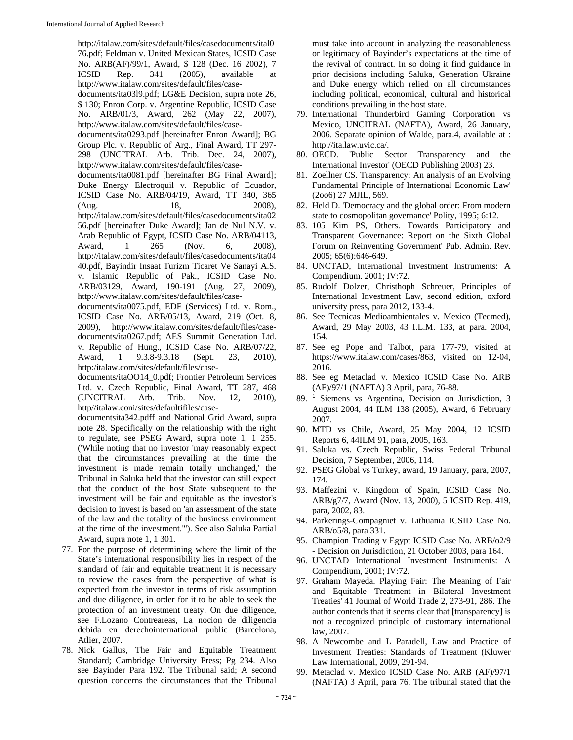http://italaw.com/sites/default/files/casedocuments/ital0 76.pdf; Feldman v. United Mexican States, ICSID Case No. ARB(AF)/99/1, Award, \$ 128 (Dec. 16 2002), 7 ICSID Rep. 341 (2005), available at http://www.italaw.com/sites/default/files/casedocuments/ita03l9.pdf; LG&E Decision, supra note 26, \$ 130; Enron Corp. v. Argentine Republic, ICSID Case No. ARB/01/3, Award, 262 (May 22, 2007), http://www.italaw.com/sites/default/files/casedocuments/ita0293.pdf [hereinafter Enron Award]; BG Group Plc. v. Republic of Arg., Final Award, TT 297- 298 (UNCITRAL Arb. Trib. Dec. 24, 2007), http://www.italaw.com/sites/default/files/casedocuments/ita0081.pdf [hereinafter BG Final Award]; Duke Energy Electroquil v. Republic of Ecuador, ICSID Case No. ARB/04/19, Award, TT 340, 365 (Aug. 18, 2008), http://italaw.com/sites/default/files/casedocuments/ita02 56.pdf [hereinafter Duke Award]; Jan de Nul N.V. v. Arab Republic of Egypt, ICSID Case No. ARB/04113, Award, 1 265 (Nov. 6, 2008), http://italaw.com/sites/default/files/casedocuments/ita04 40.pdf, Bayindir Insaat Turizm Ticaret Ve Sanayi A.S. v. Islamic Republic of Pak., ICSID Case No. ARB/03129, Award, 190-191 (Aug. 27, 2009), http://www.italaw.com/sites/default/files/casedocuments/ita0075.pdf, EDF (Services) Ltd. v. Rom., ICSID Case No. ARB/05/13, Award, 219 (Oct. 8, 2009), http://www.italaw.com/sites/default/files/casedocuments/ita0267.pdf; AES Summit Generation Ltd. v. Republic of Hung., ICSID Case No. ARB/07/22, Award, 1 9.3.8-9.3.18 (Sept. 23, 2010), http:/italaw.com/sites/default/files/casedocuments/itaOO14\_0.pdf; Frontier Petroleum Services

Ltd. v. Czech Republic, Final Award, TT 287, 468 (UNCITRAL Arb. Trib. Nov. 12, 2010), http//italaw.coni/sites/defaultifiles/case-

documentsita342.pdff and National Grid Award, supra note 28. Specifically on the relationship with the right to regulate, see PSEG Award, supra note 1, 1 255. ('While noting that no investor 'may reasonably expect that the circumstances prevailing at the time the investment is made remain totally unchanged,' the Tribunal in Saluka held that the investor can still expect that the conduct of the host State subsequent to the investment will be fair and equitable as the investor's decision to invest is based on 'an assessment of the state of the law and the totality of the business environment at the time of the investment."'). See also Saluka Partial Award, supra note 1, 1 301.

- 77. For the purpose of determining where the limit of the State's international responsibility lies in respect of the standard of fair and equitable treatment it is necessary to review the cases from the perspective of what is expected from the investor in terms of risk assumption and due diligence, in order for it to be able to seek the protection of an investment treaty. On due diligence, see F.Lozano Contreareas, La nocion de diligencia debida en derechointernational public (Barcelona, Atlier, 2007.
- 78. Nick Gallus, The Fair and Equitable Treatment Standard; Cambridge University Press; Pg 234. Also see Bayinder Para 192. The Tribunal said; A second question concerns the circumstances that the Tribunal

must take into account in analyzing the reasonableness or legitimacy of Bayinder's expectations at the time of the revival of contract. In so doing it find guidance in prior decisions including Saluka, Generation Ukraine and Duke energy which relied on all circumstances including political, economical, cultural and historical conditions prevailing in the host state.

- 79. International Thunderbird Gaming Corporation vs Mexico, UNCITRAL (NAFTA), Award, 26 January, 2006. Separate opinion of Walde, para.4, available at : http://ita.law.uvic.ca/.
- 80. OECD. 'Public Sector Transparency and the International Investor' (OECD Publishing 2003) 23.
- 81. Zoellner CS. Transparency: An analysis of an Evolving Fundamental Principle of International Economic Law' (2oo6) 27 MJIL, 569.
- 82. Held D. 'Democracy and the global order: From modern state to cosmopolitan governance' Polity, 1995; 6:12.
- 83. 105 Kim PS, Others. Towards Participatory and Transparent Governance: Report on the Sixth Global Forum on Reinventing Government' Pub. Admin. Rev. 2005; 65(6):646-649.
- 84. UNCTAD, International Investment Instruments: A Compendium. 2001; IV:72.
- 85. Rudolf Dolzer, Christhoph Schreuer, Principles of International Investment Law, second edition, oxford university press, para 2012, 133-4.
- 86. See Tecnicas Medioambientales v. Mexico (Tecmed), Award, 29 May 2003, 43 I.L.M. 133, at para. 2004, 154.
- 87. See eg Pope and Talbot, para 177-79, visited at https://www.italaw.com/cases/863, visited on 12-04, 2016.
- 88. See eg Metaclad v. Mexico ICSID Case No. ARB (AF)/97/1 (NAFTA) 3 April, para, 76-88.
- 89. <sup>1</sup> Siemens vs Argentina, Decision on Jurisdiction, 3 August 2004, 44 ILM 138 (2005), Award, 6 February 2007.
- 90. MTD vs Chile, Award, 25 May 2004, 12 ICSID Reports 6, 44ILM 91, para, 2005, 163.
- 91. Saluka vs. Czech Republic, Swiss Federal Tribunal Decision, 7 September, 2006, 114.
- 92. PSEG Global vs Turkey, award, 19 January, para, 2007, 174.
- 93. Maffezini v. Kingdom of Spain, ICSID Case No. ARB/g7/7, Award (Nov. 13, 2000), 5 ICSID Rep. 419, para, 2002, 83.
- 94. Parkerings-Compagniet v. Lithuania ICSID Case No. ARB/o5/8, para 331.
- 95. Champion Trading v Egypt ICSID Case No. ARB/o2/9 - Decision on Jurisdiction, 21 October 2003, para 164.
- 96. UNCTAD International Investment Instruments: A Compendium, 2001; IV:72.
- 97. Graham Mayeda. Playing Fair: The Meaning of Fair and Equitable Treatment in Bilateral Investment Treaties' 41 Joumal of World Trade 2, 273-91, 286. The author contends that it seems clear that [transparency] is not a recognized principle of customary international law, 2007.
- 98. A Newcombe and L Paradell, Law and Practice of Investment Treaties: Standards of Treatment (Kluwer Law International, 2009, 291-94.
- 99. Metaclad v. Mexico ICSID Case No. ARB (AF)/97/1 (NAFTA) 3 April, para 76. The tribunal stated that the